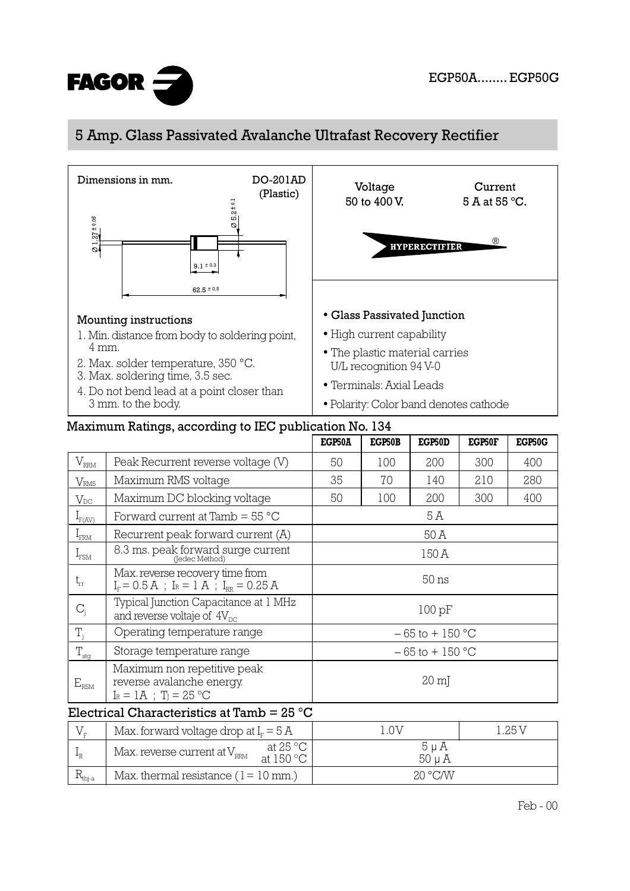

## 5 Amp. Glass Passivated Avalanche Ultrafast Recovery Rectifier



|                           |                                                                                        | EGP50A             | EGP50B | EGP50D | EGP50F | EGP50G |
|---------------------------|----------------------------------------------------------------------------------------|--------------------|--------|--------|--------|--------|
| $V_{\rm RRM}$             | Peak Recurrent reverse voltage (V)                                                     | 50                 | 100    | 200    | 300    | 400    |
| $\rm V_{RMS}$             | Maximum RMS voltage                                                                    | 35                 | 70     | 140    | 210    | 280    |
| $\rm V_{\rm DC}$          | Maximum DC blocking voltage                                                            | 50                 | 100    | 200    | 300    | 400    |
| $I_{F(AV)}$               | Forward current at Tamb $=$ 55 $^{\circ}$ C                                            | 5 A                |        |        |        |        |
| $1$ <sub>FRM</sub>        | Recurrent peak forward current (A)                                                     | 50 A               |        |        |        |        |
| $I_{\text{FSM}}$          | 8.3 ms. peak forward surge current                                                     | 150 A              |        |        |        |        |
| $t_{rr}$                  | Max. reverse recovery time from<br>$I_r = 0.5 A$ ; $I_R = 1 A$ ; $I_{RR} = 0.25 A$     | 50 <sub>ns</sub>   |        |        |        |        |
| $C_{j}$                   | Typical Junction Capacitance at 1 MHz<br>and reverse voltaje of $4V_{\text{nc}}$       | 100 pF             |        |        |        |        |
| $T_i$                     | Operating temperature range                                                            | $-65$ to $+150$ °C |        |        |        |        |
| $T_{\underline{\rm stg}}$ | Storage temperature range                                                              | $-65$ to $+150$ °C |        |        |        |        |
| $E_{\rm RSM}$             | Maximum non repetitive peak<br>reverse avalanche energy.<br>$I_R = 1A$ ; $T_I = 25 °C$ | $20 \text{ m}$     |        |        |        |        |

## Electrical Characteristics at Tamb = 25 °C

|                     | Max. forward voltage drop at $IF = 5 A$ |                                | .0V       | 1.25 V |  |
|---------------------|-----------------------------------------|--------------------------------|-----------|--------|--|
|                     | Max. reverse current at $V_{\rm RRM}$   | at 25 °C<br>at $150^{\circ}$ C | $5 \mu A$ |        |  |
| ⊥⊾ <sub>thj-a</sub> | Max. thermal resistance $(1 = 10$ mm.)  |                                | 20 °C/N   |        |  |